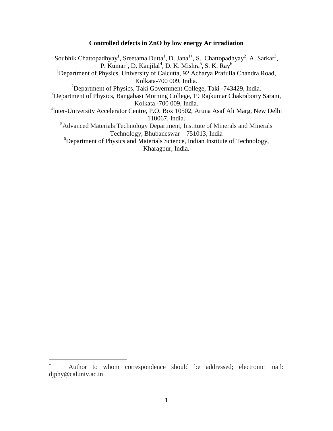## **Controlled defects in ZnO by low energy Ar irradiation**

Soubhik Chattopadhyay<sup>1</sup>, Sreetama Dutta<sup>1</sup>, D. Jana<sup>1\*</sup>, S. Chattopadhyay<sup>2</sup>, A. Sarkar<sup>3</sup>, P. Kumar<sup>4</sup>, D. Kanjilal<sup>4</sup>, D. K. Mishra<sup>5</sup>, S. K. Ray<sup>6</sup> <sup>1</sup>Department of Physics, University of Calcutta, 92 Acharya Prafulla Chandra Road, Kolkata-700 009, India. <sup>2</sup>Department of Physics, Taki Government College, Taki -743429, India. <sup>3</sup>Department of Physics, Bangabasi Morning College, 19 Rajkumar Chakraborty Sarani, Kolkata -700 009, India. <sup>4</sup>Inter-University Accelerator Centre, P.O. Box 10502, Aruna Asaf Ali Marg, New Delhi 110067, India. <sup>5</sup>Advanced Materials Technology Department, Institute of Minerals and Minerals Technology, Bhubaneswar – 751013, India <sup>6</sup>Department of Physics and Materials Science, Indian Institute of Technology,

Kharagpur, India.

 $\overline{a}$ 

Author to whom correspondence should be addressed; electronic mail: [djphy@caluniv.ac.in](mailto:djphy@caluniv.ac.in)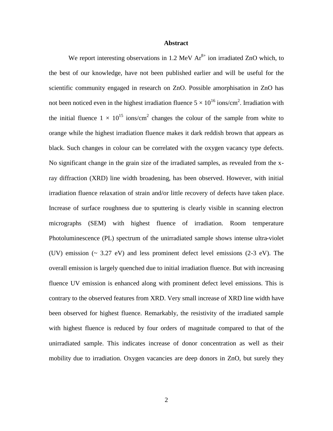## **Abstract**

We report interesting observations in 1.2 MeV  $Ar^{8+}$  ion irradiated ZnO which, to the best of our knowledge, have not been published earlier and will be useful for the scientific community engaged in research on ZnO. Possible amorphisation in ZnO has not been noticed even in the highest irradiation fluence  $5 \times 10^{16}$  ions/cm<sup>2</sup>. Irradiation with the initial fluence  $1 \times 10^{15}$  ions/cm<sup>2</sup> changes the colour of the sample from white to orange while the highest irradiation fluence makes it dark reddish brown that appears as black. Such changes in colour can be correlated with the oxygen vacancy type defects. No significant change in the grain size of the irradiated samples, as revealed from the xray diffraction (XRD) line width broadening, has been observed. However, with initial irradiation fluence relaxation of strain and/or little recovery of defects have taken place. Increase of surface roughness due to sputtering is clearly visible in scanning electron micrographs (SEM) with highest fluence of irradiation. Room temperature Photoluminescence (PL) spectrum of the unirradiated sample shows intense ultra-violet (UV) emission  $(\sim 3.27 \text{ eV})$  and less prominent defect level emissions (2-3 eV). The overall emission is largely quenched due to initial irradiation fluence. But with increasing fluence UV emission is enhanced along with prominent defect level emissions. This is contrary to the observed features from XRD. Very small increase of XRD line width have been observed for highest fluence. Remarkably, the resistivity of the irradiated sample with highest fluence is reduced by four orders of magnitude compared to that of the unirradiated sample. This indicates increase of donor concentration as well as their mobility due to irradiation. Oxygen vacancies are deep donors in ZnO, but surely they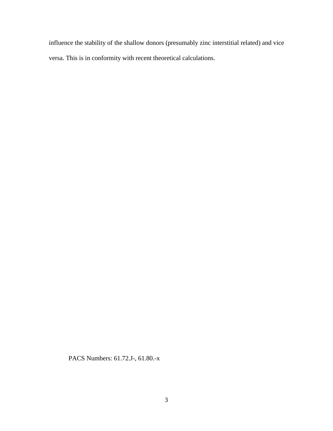influence the stability of the shallow donors (presumably zinc interstitial related) and vice versa. This is in conformity with recent theoretical calculations.

PACS Numbers: 61.72.J-, 61.80.-x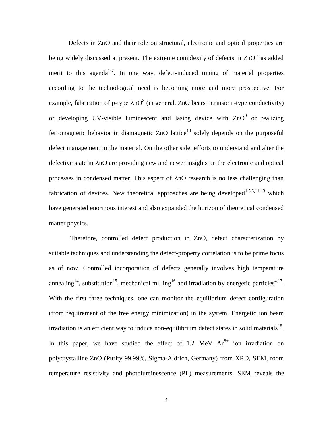Defects in ZnO and their role on structural, electronic and optical properties are being widely discussed at present. The extreme complexity of defects in ZnO has added merit to this agenda<sup>1-7</sup>. In one way, defect-induced tuning of material properties according to the technological need is becoming more and more prospective. For example, fabrication of p-type  $ZnO<sup>8</sup>$  (in general, ZnO bears intrinsic n-type conductivity) or developing UV-visible luminescent and lasing device with  $ZnO<sup>9</sup>$  or realizing ferromagnetic behavior in diamagnetic  $ZnO$  lattice<sup>10</sup> solely depends on the purposeful defect management in the material. On the other side, efforts to understand and alter the defective state in ZnO are providing new and newer insights on the electronic and optical processes in condensed matter. This aspect of ZnO research is no less challenging than fabrication of devices. New theoretical approaches are being developed<sup>1,5,6,11-13</sup> which have generated enormous interest and also expanded the horizon of theoretical condensed matter physics.

Therefore, controlled defect production in ZnO, defect characterization by suitable techniques and understanding the defect-property correlation is to be prime focus as of now. Controlled incorporation of defects generally involves high temperature annealing<sup>14</sup>, substitution<sup>15</sup>, mechanical milling<sup>16</sup> and irradiation by energetic particles<sup>4,17</sup>. With the first three techniques, one can monitor the equilibrium defect configuration (from requirement of the free energy minimization) in the system. Energetic ion beam irradiation is an efficient way to induce non-equilibrium defect states in solid materials<sup>18</sup>. In this paper, we have studied the effect of 1.2 MeV  $Ar<sup>8+</sup>$  ion irradiation on polycrystalline ZnO (Purity 99.99%, Sigma-Aldrich, Germany) from XRD, SEM, room temperature resistivity and photoluminescence (PL) measurements. SEM reveals the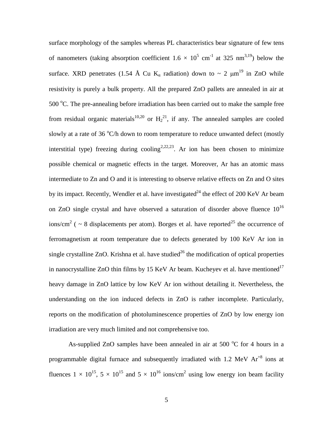surface morphology of the samples whereas PL characteristics bear signature of few tens of nanometers (taking absorption coefficient  $1.6 \times 10^5$  cm<sup>-1</sup> at 325 nm<sup>3,19</sup>) below the surface. XRD penetrates (1.54 Å Cu K<sub>a</sub> radiation) down to ~ 2  $\mu$ m<sup>19</sup> in ZnO while resistivity is purely a bulk property. All the prepared ZnO pallets are annealed in air at  $500 \degree$ C. The pre-annealing before irradiation has been carried out to make the sample free from residual organic materials<sup>10,20</sup> or  $H_2^{21}$ , if any. The annealed samples are cooled slowly at a rate of 36  $\mathrm{C}/h$  down to room temperature to reduce unwanted defect (mostly interstitial type) freezing during cooling<sup>2,22,23</sup>. Ar ion has been chosen to minimize possible chemical or magnetic effects in the target. Moreover, Ar has an atomic mass intermediate to Zn and O and it is interesting to observe relative effects on Zn and O sites by its impact. Recently, Wendler et al. have investigated<sup>24</sup> the effect of 200 KeV Ar beam on ZnO single crystal and have observed a saturation of disorder above fluence  $10^{16}$ ions/cm<sup>2</sup> ( ~ 8 displacements per atom). Borges et al. have reported<sup>25</sup> the occurrence of ferromagnetism at room temperature due to defects generated by 100 KeV Ar ion in single crystalline ZnO. Krishna et al. have studied<sup>26</sup> the modification of optical properties in nanocrystalline ZnO thin films by 15 KeV Ar beam. Kucheyev et al. have mentioned  $17$ heavy damage in ZnO lattice by low KeV Ar ion without detailing it. Nevertheless, the understanding on the ion induced defects in ZnO is rather incomplete. Particularly, reports on the modification of photoluminescence properties of ZnO by low energy ion irradiation are very much limited and not comprehensive too.

As-supplied ZnO samples have been annealed in air at 500  $^{\circ}$ C for 4 hours in a programmable digital furnace and subsequently irradiated with  $1.2 \text{ MeV Ar}^{+8}$  ions at fluences  $1 \times 10^{15}$ ,  $5 \times 10^{15}$  and  $5 \times 10^{16}$  ions/cm<sup>2</sup> using low energy ion beam facility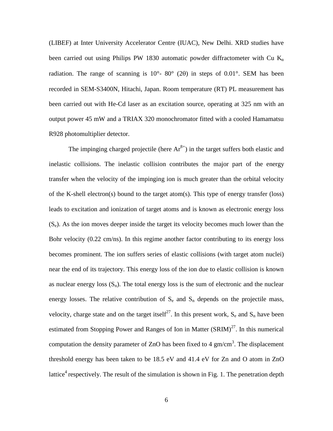(LIBEF) at Inter University Accelerator Centre (IUAC), New Delhi. XRD studies have been carried out using Philips PW 1830 automatic powder diffractometer with Cu  $K_a$ radiation. The range of scanning is  $10^{\circ}$ -  $80^{\circ}$  (20) in steps of 0.01°. SEM has been recorded in SEM-S3400N, Hitachi, Japan. Room temperature (RT) PL measurement has been carried out with He-Cd laser as an excitation source, operating at 325 nm with an output power 45 mW and a TRIAX 320 monochromator fitted with a cooled Hamamatsu R928 photomultiplier detector.

The impinging charged projectile (here  $Ar^{8+}$ ) in the target suffers both elastic and inelastic collisions. The inelastic collision contributes the major part of the energy transfer when the velocity of the impinging ion is much greater than the orbital velocity of the K-shell electron(s) bound to the target atom(s). This type of energy transfer (loss) leads to excitation and ionization of target atoms and is known as electronic energy loss  $(S_e)$ . As the ion moves deeper inside the target its velocity becomes much lower than the Bohr velocity (0.22 cm/ns). In this regime another factor contributing to its energy loss becomes prominent. The ion suffers series of elastic collisions (with target atom nuclei) near the end of its trajectory. This energy loss of the ion due to elastic collision is known as nuclear energy loss  $(S_n)$ . The total energy loss is the sum of electronic and the nuclear energy losses. The relative contribution of  $S_e$  and  $S_n$  depends on the projectile mass, velocity, charge state and on the target itself<sup>27</sup>. In this present work,  $S_e$  and  $S_n$  have been estimated from Stopping Power and Ranges of Ion in Matter  $(SRIM)^{27}$ . In this numerical computation the density parameter of ZnO has been fixed to 4  $\text{gm/cm}^3$ . The displacement threshold energy has been taken to be 18.5 eV and 41.4 eV for Zn and O atom in ZnO lattice<sup>4</sup> respectively. The result of the simulation is shown in Fig. 1. The penetration depth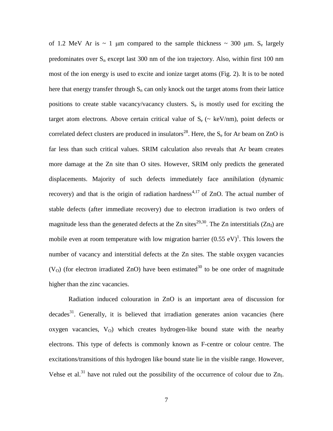of 1.2 MeV Ar is  $\sim$  1 µm compared to the sample thickness  $\sim$  300 µm. S<sub>e</sub> largely predominates over  $S_n$  except last 300 nm of the ion trajectory. Also, within first 100 nm most of the ion energy is used to excite and ionize target atoms (Fig. 2). It is to be noted here that energy transfer through  $S_n$  can only knock out the target atoms from their lattice positions to create stable vacancy/vacancy clusters.  $S_e$  is mostly used for exciting the target atom electrons. Above certain critical value of  $S_e$  ( $\sim$  keV/nm), point defects or correlated defect clusters are produced in insulators<sup>28</sup>. Here, the  $S_e$  for Ar beam on ZnO is far less than such critical values. SRIM calculation also reveals that Ar beam creates more damage at the Zn site than O sites. However, SRIM only predicts the generated displacements. Majority of such defects immediately face annihilation (dynamic recovery) and that is the origin of radiation hardness<sup>4,17</sup> of ZnO. The actual number of stable defects (after immediate recovery) due to electron irradiation is two orders of magnitude less than the generated defects at the Zn sites<sup>29,30</sup>. The Zn interstitials (Zn<sub>I</sub>) are mobile even at room temperature with low migration barrier  $(0.55 \text{ eV})^1$ . This lowers the number of vacancy and interstitial defects at the Zn sites. The stable oxygen vacancies ( $V<sub>O</sub>$ ) (for electron irradiated ZnO) have been estimated<sup>30</sup> to be one order of magnitude higher than the zinc vacancies.

Radiation induced colouration in ZnO is an important area of discussion for  $decades<sup>31</sup>$ . Generally, it is believed that irradiation generates anion vacancies (here oxygen vacancies,  $V_O$ ) which creates hydrogen-like bound state with the nearby electrons. This type of defects is commonly known as F-centre or colour centre. The excitations/transitions of this hydrogen like bound state lie in the visible range. However, Vehse et al.<sup>31</sup> have not ruled out the possibility of the occurrence of colour due to  $Zn_I$ .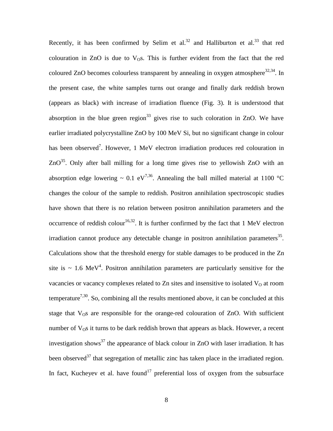Recently, it has been confirmed by Selim et al.<sup>32</sup> and Halliburton et al.<sup>33</sup> that red colouration in ZnO is due to  $V_{\Omega}$ s. This is further evident from the fact that the red coloured ZnO becomes colourless transparent by annealing in oxygen atmosphere<sup>32,34</sup>. In the present case, the white samples turns out orange and finally dark reddish brown (appears as black) with increase of irradiation fluence (Fig. 3). It is understood that absorption in the blue green region<sup>33</sup> gives rise to such coloration in ZnO. We have earlier irradiated polycrystalline ZnO by 100 MeV Si, but no significant change in colour has been observed<sup>7</sup>. However, 1 MeV electron irradiation produces red colouration in  $ZnO^{35}$ . Only after ball milling for a long time gives rise to yellowish  $ZnO$  with an absorption edge lowering ~ 0.1 eV<sup>7,36</sup>. Annealing the ball milled material at 1100 °C changes the colour of the sample to reddish. Positron annihilation spectroscopic studies have shown that there is no relation between positron annihilation parameters and the occurrence of reddish colour<sup>16,32</sup>. It is further confirmed by the fact that 1 MeV electron irradiation cannot produce any detectable change in positron annihilation parameters<sup>35</sup>. Calculations show that the threshold energy for stable damages to be produced in the Zn site is  $\sim 1.6 \text{ MeV}^4$ . Positron annihilation parameters are particularly sensitive for the vacancies or vacancy complexes related to Zn sites and insensitive to isolated  $V<sub>O</sub>$  at room temperature<sup>7,30</sup>. So, combining all the results mentioned above, it can be concluded at this stage that  $V_{\text{O}}s$  are responsible for the orange-red colouration of ZnO. With sufficient number of  $V_{\text{O}}s$  it turns to be dark reddish brown that appears as black. However, a recent investigation shows<sup>37</sup> the appearance of black colour in ZnO with laser irradiation. It has been observed<sup>37</sup> that segregation of metallic zinc has taken place in the irradiated region. In fact, Kucheyev et al. have found<sup>17</sup> preferential loss of oxygen from the subsurface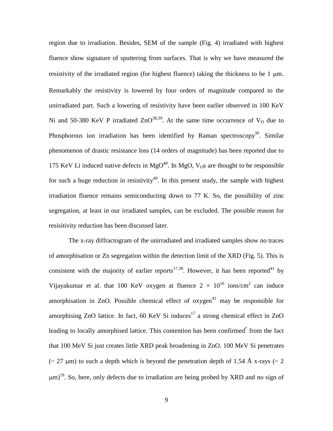region due to irradiation. Besides, SEM of the sample (Fig. 4) irradiated with highest fluence show signature of sputtering from surfaces. That is why we have measured the resistivity of the irradiated region (for highest fluence) taking the thickness to be  $1 \mu m$ . Remarkably the resistivity is lowered by four orders of magnitude compared to the unirradiated part. Such a lowering of resistivity have been earlier observed in 100 KeV Ni and 50-380 KeV P irradiated  $ZnO^{38,39}$ . At the same time occurrence of  $V<sub>O</sub>$  due to Phosphorous ion irradiation has been identified by Raman spectroscopy<sup>39</sup>. Similar phenomenon of drastic resistance loss (14 orders of magnitude) has been reported due to 175 KeV Li induced native defects in  $MgO<sup>40</sup>$ . In MgO,  $V<sub>0</sub>$ s are thought to be responsible for such a huge reduction in resistivity<sup>40</sup>. In this present study, the sample with highest irradiation fluence remains semiconducting down to 77 K. So, the possibility of zinc segregation, at least in our irradiated samples, can be excluded. The possible reason for resisitivity reduction has been discussed later.

The x-ray diffractogram of the unirradiated and irradiated samples show no traces of amorphisation or Zn segregation within the detection limit of the XRD (Fig. 5). This is consistent with the majority of earlier reports<sup>17,38</sup>. However, it has been reported<sup>41</sup> by Vijayakumar et al. that 100 KeV oxygen at fluence  $2 \times 10^{16}$  ions/cm<sup>2</sup> can induce amorphisation in ZnO. Possible chemical effect of  $oxygen<sup>41</sup>$  may be responsible for amorphising ZnO lattice. In fact,  $60 \text{ KeV Si}$  induces<sup>17</sup> a strong chemical effect in ZnO leading to locally amorphised lattice. This contention has been confirmed<sup>7</sup> from the fact that 100 MeV Si just creates little XRD peak broadening in ZnO. 100 MeV Si penetrates ( $\sim$  27 µm) to such a depth which is beyond the penetration depth of 1.54 Å x-rays ( $\sim$  2  $\mu$ m)<sup>19</sup>. So, here, only defects due to irradiation are being probed by XRD and no sign of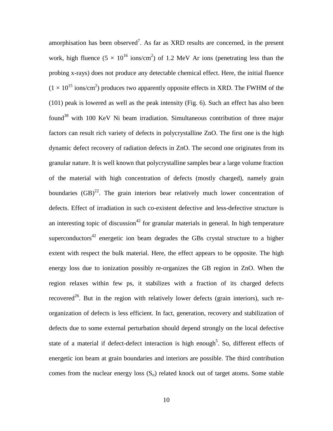amorphisation has been observed<sup>7</sup>. As far as XRD results are concerned, in the present work, high fluence  $(5 \times 10^{16} \text{ ions/cm}^2)$  of 1.2 MeV Ar ions (penetrating less than the probing x-rays) does not produce any detectable chemical effect. Here, the initial fluence  $(1 \times 10^{15} \text{ ions/cm}^2)$  produces two apparently opposite effects in XRD. The FWHM of the (101) peak is lowered as well as the peak intensity (Fig. 6). Such an effect has also been found<sup>38</sup> with 100 KeV Ni beam irradiation. Simultaneous contribution of three major factors can result rich variety of defects in polycrystalline ZnO. The first one is the high dynamic defect recovery of radiation defects in ZnO. The second one originates from its granular nature. It is well known that polycrystalline samples bear a large volume fraction of the material with high concentration of defects (mostly charged), namely grain boundaries  $(GB)^{22}$ . The grain interiors bear relatively much lower concentration of defects. Effect of irradiation in such co-existent defective and less-defective structure is an interesting topic of discussion<sup>42</sup> for granular materials in general. In high temperature superconductors<sup>42</sup> energetic ion beam degrades the GBs crystal structure to a higher extent with respect the bulk material. Here, the effect appears to be opposite. The high energy loss due to ionization possibly re-organizes the GB region in ZnO. When the region relaxes within few ps, it stabilizes with a fraction of its charged defects recovered<sup>26</sup>. But in the region with relatively lower defects (grain interiors), such reorganization of defects is less efficient. In fact, generation, recovery and stabilization of defects due to some external perturbation should depend strongly on the local defective state of a material if defect-defect interaction is high enough<sup>5</sup>. So, different effects of energetic ion beam at grain boundaries and interiors are possible. The third contribution comes from the nuclear energy loss  $(S_n)$  related knock out of target atoms. Some stable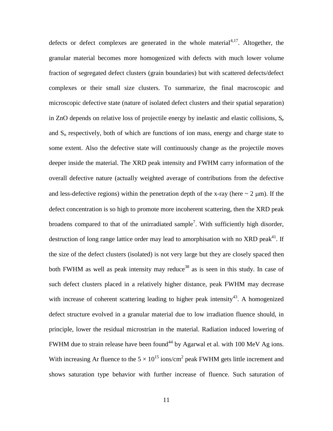defects or defect complexes are generated in the whole material<sup>4,17</sup>. Altogether, the granular material becomes more homogenized with defects with much lower volume fraction of segregated defect clusters (grain boundaries) but with scattered defects/defect complexes or their small size clusters. To summarize, the final macroscopic and microscopic defective state (nature of isolated defect clusters and their spatial separation) in ZnO depends on relative loss of projectile energy by inelastic and elastic collisions,  $S_e$ and  $S_n$  respectively, both of which are functions of ion mass, energy and charge state to some extent. Also the defective state will continuously change as the projectile moves deeper inside the material. The XRD peak intensity and FWHM carry information of the overall defective nature (actually weighted average of contributions from the defective and less-defective regions) within the penetration depth of the x-ray (here  $\sim 2 \mu m$ ). If the defect concentration is so high to promote more incoherent scattering, then the XRD peak broadens compared to that of the unirradiated sample<sup>7</sup>. With sufficiently high disorder, destruction of long range lattice order may lead to amorphisation with no XRD peak<sup>41</sup>. If the size of the defect clusters (isolated) is not very large but they are closely spaced then both FWHM as well as peak intensity may reduce<sup>38</sup> as is seen in this study. In case of such defect clusters placed in a relatively higher distance, peak FWHM may decrease with increase of coherent scattering leading to higher peak intensity<sup>43</sup>. A homogenized defect structure evolved in a granular material due to low irradiation fluence should, in principle, lower the residual microstrian in the material. Radiation induced lowering of FWHM due to strain release have been found<sup>44</sup> by Agarwal et al. with 100 MeV Ag ions. With increasing Ar fluence to the  $5 \times 10^{15}$  ions/cm<sup>2</sup> peak FWHM gets little increment and shows saturation type behavior with further increase of fluence. Such saturation of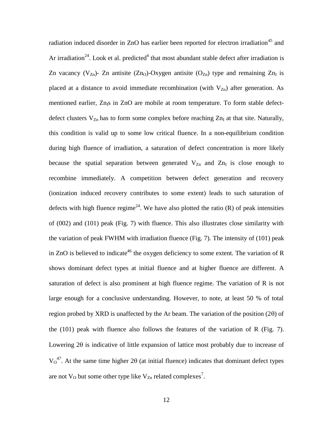radiation induced disorder in ZnO has earlier been reported for electron irradiation<sup>45</sup> and Ar irradiation<sup>24</sup>. Look et al. predicted<sup>4</sup> that most abundant stable defect after irradiation is Zn vacancy (V<sub>Zn</sub>)- Zn antisite (Zn<sub>O</sub>)-Oxygen antisite (O<sub>Zn</sub>) type and remaining Zn<sub>I</sub> is placed at a distance to avoid immediate recombination (with  $V_{Zn}$ ) after generation. As mentioned earlier, Zn<sub>IS</sub> in ZnO are mobile at room temperature. To form stable defectdefect clusters  $V_{Zn}$  has to form some complex before reaching  $Zn<sub>I</sub>$  at that site. Naturally, this condition is valid up to some low critical fluence. In a non-equilibrium condition during high fluence of irradiation, a saturation of defect concentration is more likely because the spatial separation between generated  $V_{Zn}$  and  $Zn<sub>I</sub>$  is close enough to recombine immediately. A competition between defect generation and recovery (ionization induced recovery contributes to some extent) leads to such saturation of defects with high fluence regime<sup>24</sup>. We have also plotted the ratio  $(R)$  of peak intensities of (002) and (101) peak (Fig. 7) with fluence. This also illustrates close similarity with the variation of peak FWHM with irradiation fluence (Fig. 7). The intensity of (101) peak in ZnO is believed to indicate<sup>46</sup> the oxygen deficiency to some extent. The variation of R shows dominant defect types at initial fluence and at higher fluence are different. A saturation of defect is also prominent at high fluence regime. The variation of R is not large enough for a conclusive understanding. However, to note, at least 50 % of total region probed by XRD is unaffected by the Ar beam. The variation of the position  $(2\theta)$  of the (101) peak with fluence also follows the features of the variation of R (Fig. 7). Lowering 20 is indicative of little expansion of lattice most probably due to increase of  $V_0^{47}$ . At the same time higher 2 $\theta$  (at initial fluence) indicates that dominant defect types are not  $V_{\text{O}}$  but some other type like  $V_{\text{Zn}}$  related complexes<sup>7</sup>.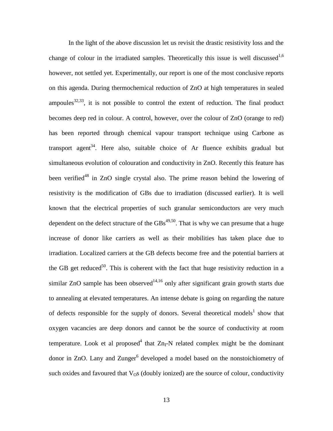In the light of the above discussion let us revisit the drastic resistivity loss and the change of colour in the irradiated samples. Theoretically this issue is well discussed<sup>1,6</sup> however, not settled yet. Experimentally, our report is one of the most conclusive reports on this agenda. During thermochemical reduction of ZnO at high temperatures in sealed ampoules $^{32,33}$ , it is not possible to control the extent of reduction. The final product becomes deep red in colour. A control, however, over the colour of ZnO (orange to red) has been reported through chemical vapour transport technique using Carbone as transport agent<sup>34</sup>. Here also, suitable choice of Ar fluence exhibits gradual but simultaneous evolution of colouration and conductivity in ZnO. Recently this feature has been verified<sup>48</sup> in ZnO single crystal also. The prime reason behind the lowering of resistivity is the modification of GBs due to irradiation (discussed earlier). It is well known that the electrical properties of such granular semiconductors are very much dependent on the defect structure of the  $\text{GBs}^{49,50}$ . That is why we can presume that a huge increase of donor like carriers as well as their mobilities has taken place due to irradiation. Localized carriers at the GB defects become free and the potential barriers at the GB get reduced<sup>50</sup>. This is coherent with the fact that huge resistivity reduction in a similar ZnO sample has been observed<sup>14,16</sup> only after significant grain growth starts due to annealing at elevated temperatures. An intense debate is going on regarding the nature of defects responsible for the supply of donors. Several theoretical models<sup>1</sup> show that oxygen vacancies are deep donors and cannot be the source of conductivity at room temperature. Look et al proposed<sup>4</sup> that  $Zn_I-N$  related complex might be the dominant donor in ZnO. Lany and Zunger<sup>6</sup> developed a model based on the nonstoichiometry of such oxides and favoured that  $V_{\rm O}$ s (doubly ionized) are the source of colour, conductivity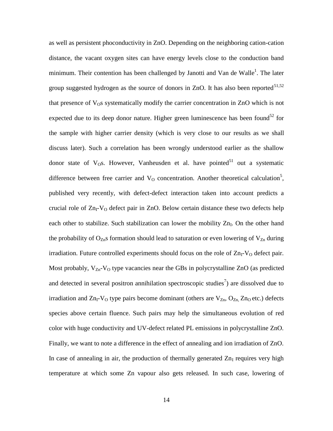as well as persistent phoconductivity in ZnO. Depending on the neighboring cation-cation distance, the vacant oxygen sites can have energy levels close to the conduction band minimum. Their contention has been challenged by Janotti and Van de Walle<sup>1</sup>. The later group suggested hydrogen as the source of donors in ZnO. It has also been reported<sup>51,52</sup> that presence of  $V_{\Omega}$ s systematically modify the carrier concentration in ZnO which is not expected due to its deep donor nature. Higher green luminescence has been found<sup>52</sup> for the sample with higher carrier density (which is very close to our results as we shall discuss later). Such a correlation has been wrongly understood earlier as the shallow donor state of  $V$ <sub>O</sub>s. However, Vanheusden et al. have pointed<sup>51</sup> out a systematic difference between free carrier and  $V<sub>O</sub>$  concentration. Another theoretical calculation<sup>5</sup>, published very recently, with defect-defect interaction taken into account predicts a crucial role of  $Zn_I-V_O$  defect pair in ZnO. Below certain distance these two defects help each other to stabilize. Such stabilization can lower the mobility  $Zn_I$ . On the other hand the probability of  $O_{Zn}$ s formation should lead to saturation or even lowering of  $V_{Zn}$  during irradiation. Future controlled experiments should focus on the role of  $Zn_I-V_O$  defect pair. Most probably,  $V_{Zn}$ - $V_{O}$  type vacancies near the GBs in polycrystalline ZnO (as predicted and detected in several positron annihilation spectroscopic studies<sup>7</sup>) are dissolved due to irradiation and  $Zn_I-V_O$  type pairs become dominant (others are  $V_{Zn}$ ,  $O_{Zn}$ ,  $Zn_O$  etc.) defects species above certain fluence. Such pairs may help the simultaneous evolution of red color with huge conductivity and UV-defect related PL emissions in polycrystalline ZnO. Finally, we want to note a difference in the effect of annealing and ion irradiation of ZnO. In case of annealing in air, the production of thermally generated  $Zn<sub>I</sub>$  requires very high temperature at which some Zn vapour also gets released. In such case, lowering of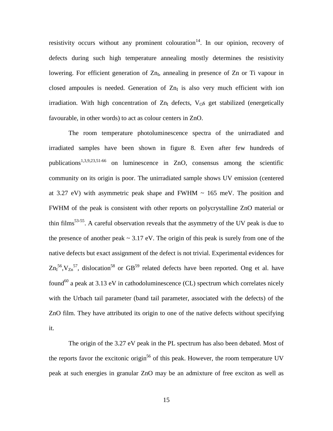resistivity occurs without any prominent colouration<sup>14</sup>. In our opinion, recovery of defects during such high temperature annealing mostly determines the resistivity lowering. For efficient generation of Zn<sub>I</sub>, annealing in presence of Zn or Ti vapour in closed ampoules is needed. Generation of  $Zn<sub>I</sub>$  is also very much efficient with ion irradiation. With high concentration of  $Zn<sub>I</sub>$  defects,  $V<sub>O</sub>S$  get stabilized (energetically favourable, in other words) to act as colour centers in ZnO.

The room temperature photoluminescence spectra of the unirradiated and irradiated samples have been shown in figure 8. Even after few hundreds of publications<sup>1,3,9,23,51-66</sup> on luminescence in ZnO, consensus among the scientific community on its origin is poor. The unirradiated sample shows UV emission (centered at 3.27 eV) with asymmetric peak shape and FWHM  $\sim 165$  meV. The position and FWHM of the peak is consistent with other reports on polycrystalline ZnO material or thin films<sup>53-55</sup>. A careful observation reveals that the asymmetry of the UV peak is due to the presence of another peak  $\sim 3.17$  eV. The origin of this peak is surely from one of the native defects but exact assignment of the defect is not trivial. Experimental evidences for  $\text{Zn}_{1}^{56}$ ,  $\text{V}_{\text{Zn}}^{57}$ , dislocation<sup>58</sup> or GB<sup>59</sup> related defects have been reported. Ong et al. have found<sup>60</sup> a peak at 3.13 eV in cathodoluminescence (CL) spectrum which correlates nicely with the Urbach tail parameter (band tail parameter, associated with the defects) of the ZnO film. They have attributed its origin to one of the native defects without specifying it.

The origin of the 3.27 eV peak in the PL spectrum has also been debated. Most of the reports favor the excitonic origin<sup>56</sup> of this peak. However, the room temperature UV peak at such energies in granular ZnO may be an admixture of free exciton as well as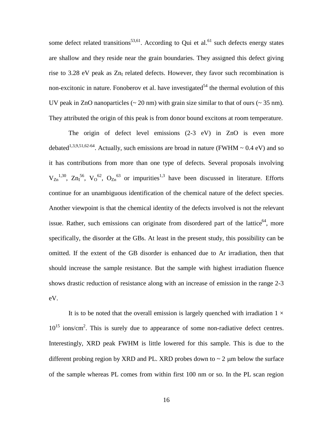some defect related transitions<sup>53,61</sup>. According to Qui et al.<sup>61</sup> such defects energy states are shallow and they reside near the grain boundaries. They assigned this defect giving rise to 3.28 eV peak as  $Zn<sub>I</sub>$  related defects. However, they favor such recombination is non-excitonic in nature. Fonoberov et al. have investigated<sup>54</sup> the thermal evolution of this UV peak in ZnO nanoparticles  $\sim 20$  nm) with grain size similar to that of ours  $\sim 35$  nm). They attributed the origin of this peak is from donor bound excitons at room temperature.

The origin of defect level emissions  $(2-3 eV)$  in ZnO is even more debated<sup>1,3,9,51,62-64</sup>. Actually, such emissions are broad in nature (FWHM  $\sim 0.4$  eV) and so it has contributions from more than one type of defects. Several proposals involving  $V_{Zn}^{1,30}$ ,  $Zn_1^{56}$ ,  $V_0^{62}$ ,  $O_{Zn}^{63}$  or impurities<sup>1,3</sup> have been discussed in literature. Efforts continue for an unambiguous identification of the chemical nature of the defect species. Another viewpoint is that the chemical identity of the defects involved is not the relevant issue. Rather, such emissions can originate from disordered part of the lattice<sup>64</sup>, more specifically, the disorder at the GBs. At least in the present study, this possibility can be omitted. If the extent of the GB disorder is enhanced due to Ar irradiation, then that should increase the sample resistance. But the sample with highest irradiation fluence shows drastic reduction of resistance along with an increase of emission in the range 2-3 eV.

It is to be noted that the overall emission is largely quenched with irradiation  $1 \times$  $10^{15}$  ions/cm<sup>2</sup>. This is surely due to appearance of some non-radiative defect centres. Interestingly, XRD peak FWHM is little lowered for this sample. This is due to the different probing region by XRD and PL. XRD probes down to  $\sim$  2  $\mu$ m below the surface of the sample whereas PL comes from within first 100 nm or so. In the PL scan region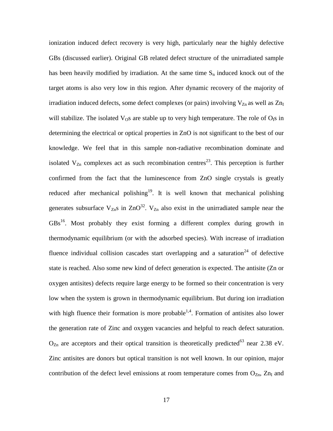ionization induced defect recovery is very high, particularly near the highly defective GBs (discussed earlier). Original GB related defect structure of the unirradiated sample has been heavily modified by irradiation. At the same time  $S_n$  induced knock out of the target atoms is also very low in this region. After dynamic recovery of the majority of irradiation induced defects, some defect complexes (or pairs) involving  $V_{Zn}$  as well as  $Zn_I$ will stabilize. The isolated  $V_{\text{O}}s$  are stable up to very high temperature. The role of  $O_{\text{I}}s$  in determining the electrical or optical properties in ZnO is not significant to the best of our knowledge. We feel that in this sample non-radiative recombination dominate and isolated  $V_{Zn}$  complexes act as such recombination centres<sup>23</sup>. This perception is further confirmed from the fact that the luminescence from ZnO single crystals is greatly reduced after mechanical polishing<sup>19</sup>. It is well known that mechanical polishing generates subsurface  $V_{Zn}$ s in  $ZnO^{32}$ .  $V_{Zn}$  also exist in the unirradiated sample near the GBs<sup>16</sup>. Most probably they exist forming a different complex during growth in thermodynamic equilibrium (or with the adsorbed species). With increase of irradiation fluence individual collision cascades start overlapping and a saturation<sup>24</sup> of defective state is reached. Also some new kind of defect generation is expected. The antisite (Zn or oxygen antisites) defects require large energy to be formed so their concentration is very low when the system is grown in thermodynamic equilibrium. But during ion irradiation with high fluence their formation is more probable<sup>1,4</sup>. Formation of antisites also lower the generation rate of Zinc and oxygen vacancies and helpful to reach defect saturation.  $O_{Zn}$  are acceptors and their optical transition is theoretically predicted<sup>63</sup> near 2.38 eV. Zinc antisites are donors but optical transition is not well known. In our opinion, major contribution of the defect level emissions at room temperature comes from  $O_{Zn}$ ,  $Zn<sub>I</sub>$  and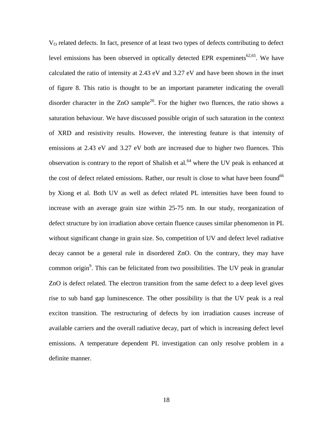V<sub>O</sub> related defects. In fact, presence of at least two types of defects contributing to defect level emissions has been observed in optically detected EPR expeminets $62,65$ . We have calculated the ratio of intensity at 2.43 eV and 3.27 eV and have been shown in the inset of figure 8. This ratio is thought to be an important parameter indicating the overall disorder character in the  $ZnO$  sample<sup>20</sup>. For the higher two fluences, the ratio shows a saturation behaviour. We have discussed possible origin of such saturation in the context of XRD and resistivity results. However, the interesting feature is that intensity of emissions at 2.43 eV and 3.27 eV both are increased due to higher two fluences. This observation is contrary to the report of Shalish et al.<sup>64</sup> where the UV peak is enhanced at the cost of defect related emissions. Rather, our result is close to what have been found<sup>66</sup> by Xiong et al. Both UV as well as defect related PL intensities have been found to increase with an average grain size within 25-75 nm. In our study, reorganization of defect structure by ion irradiation above certain fluence causes similar phenomenon in PL without significant change in grain size. So, competition of UV and defect level radiative decay cannot be a general rule in disordered ZnO. On the contrary, they may have common origin<sup>9</sup>. This can be felicitated from two possibilities. The UV peak in granular ZnO is defect related. The electron transition from the same defect to a deep level gives rise to sub band gap luminescence. The other possibility is that the UV peak is a real exciton transition. The restructuring of defects by ion irradiation causes increase of available carriers and the overall radiative decay, part of which is increasing defect level emissions. A temperature dependent PL investigation can only resolve problem in a definite manner.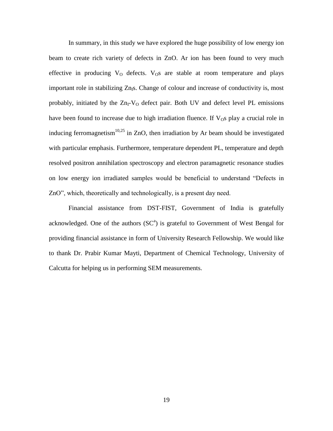In summary, in this study we have explored the huge possibility of low energy ion beam to create rich variety of defects in ZnO. Ar ion has been found to very much effective in producing  $V_0$  defects.  $V_0$ s are stable at room temperature and plays important role in stabilizing  $Zn<sub>l</sub>$ s. Change of colour and increase of conductivity is, most probably, initiated by the  $Zn_I-V_O$  defect pair. Both UV and defect level PL emissions have been found to increase due to high irradiation fluence. If  $V_{\Omega}$ s play a crucial role in inducing ferromagnetism $10,25$  in ZnO, then irradiation by Ar beam should be investigated with particular emphasis. Furthermore, temperature dependent PL, temperature and depth resolved positron annihilation spectroscopy and electron paramagnetic resonance studies on low energy ion irradiated samples would be beneficial to understand "Defects in ZnO", which, theoretically and technologically, is a present day need.

Financial assistance from DST-FIST, Government of India is gratefully acknowledged. One of the authors  $(SC<sup>a</sup>)$  is grateful to Government of West Bengal for providing financial assistance in form of University Research Fellowship. We would like to thank Dr. Prabir Kumar Mayti, Department of Chemical Technology, University of Calcutta for helping us in performing SEM measurements.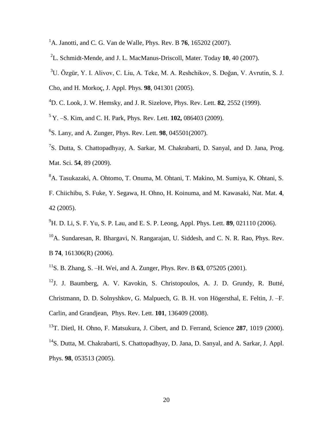- <sup>1</sup>A. Janotti, and C. G. Van de Walle, Phys. Rev. B **76**, 165202 (2007).
- 2 L. Schmidt-Mende, and J. L. MacManus-Driscoll, Mater. Today **10**, 40 (2007).
- <sup>3</sup>U. Özgür, Y. I. Alivov, C. Liu, A. Teke, M. A. Reshchikov, S. Doğan, V. Avrutin, S. J.
- Cho, and H. Morkoç, J. Appl. Phys. **98**, 041301 (2005).
- <sup>4</sup>D. C. Look, J. W. Hemsky, and J. R. Sizelove, Phys. Rev. Lett. **82**, 2552 (1999).
- <sup>5</sup> Y. –S. Kim, and C. H. Park, Phys. Rev. Lett. **102,** 086403 (2009).
- 6 S. Lany, and A. Zunger, Phys. Rev. Lett. **98**, 045501(2007).
- <sup>7</sup>S. Dutta, S. Chattopadhyay, A. Sarkar, M. Chakrabarti, D. Sanyal, and D. Jana, Prog. Mat. Sci. **54**, 89 (2009).
- <sup>8</sup>A. Tasukazaki, A. Ohtomo, T. Onuma, M. Ohtani, T. Makino, M. Sumiya, K. Ohtani, S. F. Chiichibu, S. Fuke, Y. Segawa, H. Ohno, H. Koinuma, and M. Kawasaki, Nat. Mat. **4**, 42 (2005).
- <sup>9</sup>H. D. Li, S. F. Yu, S. P. Lau, and E. S. P. Leong, Appl. Phys. Lett. **89**, 021110 (2006).
- <sup>10</sup>A. Sundaresan, R. Bhargavi, N. Rangarajan, U. Siddesh, and C. N. R. Rao, Phys. Rev. B **74**, 161306(R) (2006).
- <sup>11</sup>S. B. Zhang, S. –H. Wei, and A. Zunger, Phys. Rev. B **63**, 075205 (2001).
- $12$ J. J. Baumberg, A. V. Kavokin, S. Christopoulos, A. J. D. Grundy, R. Butté, Christmann, D. D. Solnyshkov, G. Malpuech, G. B. H. von Högersthal, E. Feltin, J. –F. Carlin, and Grandjean, Phys. Rev. Lett. **101**, 136409 (2008).
- <sup>13</sup>T. Dietl, H. Ohno, F. Matsukura, J. Cibert, and D. Ferrand, Science **287**, 1019 (2000). <sup>14</sup>S. Dutta, M. Chakrabarti, S. Chattopadhyay, D. Jana, D. Sanyal, and A. Sarkar, J. Appl. Phys. **98**, 053513 (2005).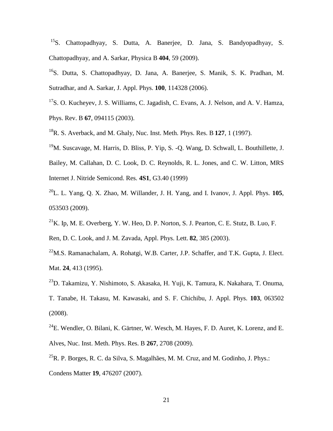<sup>15</sup>S. Chattopadhyay, S. Dutta, A. Banerjee, D. Jana, S. Bandyopadhyay, S. Chattopadhyay, and A. Sarkar, Physica B **404**, 59 (2009).

<sup>16</sup>S. Dutta, S. Chattopadhyay, D. Jana, A. Banerjee, S. Manik, S. K. Pradhan, M. Sutradhar, and A. Sarkar, J. Appl. Phys. **100**, 114328 (2006).

- $17$ S. O. Kucheyev, J. S. Williams, C. Jagadish, C. Evans, A. J. Nelson, and A. V. Hamza, Phys. Rev. B **67**, 094115 (2003).
- <sup>18</sup>R. S. Averback, and M. Ghaly, Nuc. Inst. Meth. Phys. Res. B **127**, 1 (1997).
- <sup>19</sup>M. Suscavage, M. Harris, D. Bliss, P. Yip, S. -Q. Wang, D. Schwall, L. Bouthillette, J.
- Bailey, M. Callahan, D. C. Look, D. C. Reynolds, R. L. Jones, and C. W. Litton, MRS Internet J. Nitride Semicond. Res. **4S1**, G3.40 (1999)
- <sup>20</sup>L. L. Yang, Q. X. Zhao, M. Willander, J. H. Yang, and I. Ivanov, J. Appl. Phys. **105**, 053503 (2009).
- $^{21}$ K. Ip, M. E. Overberg, Y. W. Heo, D. P. Norton, S. J. Pearton, C. E. Stutz, B. Luo, F.

Ren, D. C. Look, and J. M. Zavada, Appl. Phys. Lett. **82**, 385 (2003).

- $22$ M.S. Ramanachalam, A. Rohatgi, W.B. Carter, J.P. Schaffer, and T.K. Gupta, J. Elect. Mat. **24**, 413 (1995).
- <sup>23</sup>D. Takamizu, Y. Nishimoto, S. Akasaka, H. Yuji, K. Tamura, K. Nakahara, T. Onuma, T. Tanabe, H. Takasu, M. Kawasaki, and S. F. Chichibu, J. Appl. Phys. **103**, 063502 (2008).
- $^{24}$ E. Wendler, O. Bilani, K. Gärtner, W. Wesch, M. Hayes, F. D. Auret, K. Lorenz, and E. Alves, Nuc. Inst. Meth. Phys. Res. B **267**, 2708 (2009).
- $^{25}R$ . P. Borges, R. C. da Silva, S. Magalhães, M. M. Cruz, and M. Godinho, J. Phys.: Condens Matter **19**, 476207 (2007).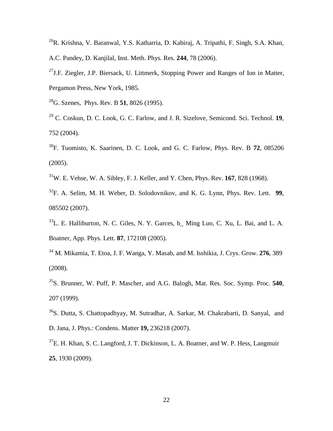- $^{26}R$ . Krishna, V. Baranwal, Y.S. Katharria, D. Kabiraj, A. Tripathi, F. Singh, S.A. Khan, A.C. Pandey, D. Kanjilal, Inst. Meth. Phys. Res. **244**, 78 (2006).
- <sup>27</sup>J.F. Ziegler, J.P. Biersack, U. Littmerk, Stopping Power and Ranges of Ion in Matter, Pergamon Press, New York, 1985.
- <sup>28</sup>G. Szenes, Phys. Rev. B **51**, 8026 (1995).
- <sup>29</sup> C. Coskun, D. C. Look, G. C. Farlow, and J. R. Sizelove, Semicond. Sci. Technol. **19**, 752 (2004).
- <sup>30</sup>F. Tuomisto, K. Saarinen, D. C. Look, and G. C. Farlow, Phys. Rev. B **72**, 085206 (2005).
- <sup>31</sup>W. E. Vehse, W. A. Sibley, F. J. Keller, and Y. Chen, Phys. Rev. **167**, 828 (1968).
- <sup>32</sup>F. A. Selim, M. H. Weber, D. Solodovnikov, and K. G. Lynn, Phys. Rev. Lett. **99**, 085502 (2007).
- $33L$ . E. Halliburton, N. C. Giles, N. Y. Garces, b Ming Luo, C. Xu, L. Bai, and L. A. Boatner, App. Phys. Lett. **87**, 172108 (2005).
- <sup>34</sup> M. Mikamia, T. Etoa, J. F. Wanga, Y. Masab, and M. Isshikia, J. Crys. Grow. **276**, 389 (2008).
- <sup>35</sup>S. Brunner, W. Puff, P. Mascher, and A.G. Balogh, Mat. Res. Soc. Symp. Proc. **540**, 207 (1999).
- <sup>36</sup>S. Dutta, S. Chattopadhyay, M. Sutradhar, A. Sarkar, M. Chakrabarti, D. Sanyal, and D. Jana, J. Phys.: Condens. Matter **19,** 236218 (2007).
- <sup>37</sup>E. H. Khan, S. C. Langford, J. T. Dickinson, L. A. Boatner, and W. P. Hess, Langmuir **25**, 1930 (2009).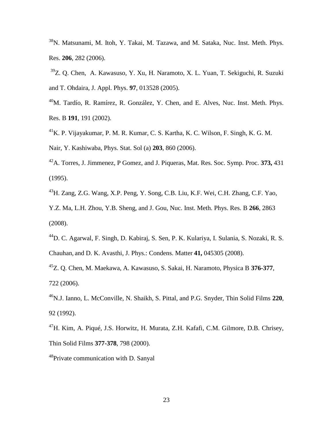<sup>38</sup>N. Matsunami, M. Itoh, Y. Takai, M. Tazawa, and M. Sataka, Nuc. Inst. Meth. Phys. Res. **206**, 282 (2006).

<sup>39</sup>Z. Q. Chen, A. Kawasuso, Y. Xu, H. Naramoto, X. L. Yuan, T. Sekiguchi, R. Suzuki and T. Ohdaira, J. Appl. Phys. **97**, 013528 (2005).

 $^{40}$ M. Tardío, R. Ramírez, R. González, Y. Chen, and E. Alves, Nuc. Inst. Meth. Phys. Res. B **191**, 191 (2002).

<sup>41</sup>K. P. Vijayakumar, P. M. R. Kumar, C. S. Kartha, K. C. Wilson, F. Singh, K. G. M. Nair, Y. Kashiwaba, Phys. Stat. Sol (a) **203**, 860 (2006).

<sup>42</sup>A. Torres, J. Jimmenez, P Gomez, and J. Piqueras, Mat. Res. Soc. Symp. Proc. **373,** 431 (1995).

<sup>43</sup>H. Zang, Z.G. Wang, X.P. Peng, Y. Song, C.B. Liu, K.F. Wei, C.H. Zhang, C.F. Yao,

Y.Z. Ma, L.H. Zhou, Y.B. Sheng, and J. Gou, Nuc. Inst. Meth. Phys. Res. B **266**, 2863 (2008).

<sup>44</sup>D. C. Agarwal, F. Singh, D. Kabiraj, S. Sen, P. K. Kulariya, I. Sulania, S. Nozaki, R. S. Chauhan, and D. K. Avasthi, J. Phys.: Condens. Matter **41,** 045305 (2008).

<sup>45</sup>Z. Q. Chen, M. Maekawa, A. Kawasuso, S. Sakai, H. Naramoto, Physica B **376-377**, 722 (2006).

<sup>46</sup>N.J. Ianno, L. McConville, N. Shaikh, S. Pittal, and P.G. Snyder, Thin Solid Films **220**, 92 (1992).

<sup>47</sup>H. Kim, A. Piqué, J.S. Horwitz, H. Murata, Z.H. Kafafi, C.M. Gilmore, D.B. Chrisey, Thin Solid Films **377-378**, 798 (2000).

<sup>48</sup>Private communication with D. Sanyal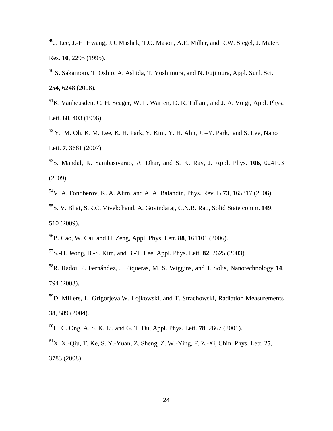- J. Lee, J.-H. Hwang, J.J. Mashek, T.O. Mason, A.E. Miller, and R.W. Siegel, J. Mater. Res. **10**, 2295 (1995).
- S. Sakamoto, T. Oshio, A. Ashida, T. Yoshimura, and N. Fujimura, Appl. Surf. Sci. , 6248 (2008).
- <sup>51</sup>K. Vanheusden, C. H. Seager, W. L. Warren, D. R. Tallant, and J. A. Voigt, Appl. Phys. Lett. **68**, 403 (1996).
- Y. M. Oh, K. M. Lee, K. H. Park, Y. Kim, Y. H. Ahn, J.  $-Y$ . Park, and S. Lee, Nano Lett. **7**, 3681 (2007).
- S. Mandal, K. Sambasivarao, A. Dhar, and S. K. Ray, J. Appl. Phys. **106**, 024103 (2009).
- V. A. Fonoberov, K. A. Alim, and A. A. Balandin, Phys. Rev. B **73**, 165317 (2006).
- S. V. Bhat, S.R.C. Vivekchand, A. Govindaraj, C.N.R. Rao, Solid State comm. **149**, 510 (2009).
- B. Cao, W. Cai, and H. Zeng, Appl. Phys. Lett. **88**, 161101 (2006).
- S.-H. Jeong, B.-S. Kim, and B.-T. Lee, Appl. Phys. Lett. **82**, 2625 (2003).
- R. Radoi, P. Fernández, J. Piqueras, M. S. Wiggins, and J. Solis, Nanotechnology **14**, 794 (2003).
- D. Millers, L. Grigorjeva,W. Lojkowski, and T. Strachowski, Radiation Measurements , 589 (2004).
- H. C. Ong, A. S. K. Li, and G. T. Du, Appl. Phys. Lett. **78**, 2667 (2001).
- X. X.-Qiu, T. Ke, S. Y.-Yuan, Z. Sheng, Z. W.-Ying, F. Z.-Xi, Chin. Phys. Lett. **25**, 3783 (2008).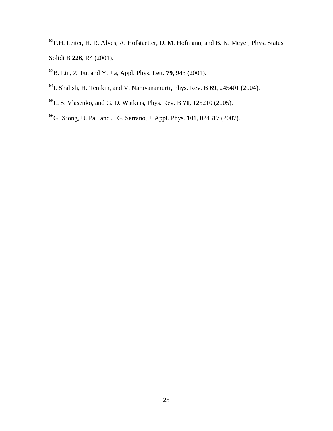- ${}^{62}$ F.H. Leiter, H. R. Alves, A. Hofstaetter, D. M. Hofmann, and B. K. Meyer, Phys. Status Solidi B **226**, R4 (2001).
- B. Lin, Z. Fu, and Y. Jia, Appl. Phys. Lett. **79**, 943 (2001).
- I. Shalish, H. Temkin, and V. Narayanamurti, Phys. Rev. B **69**, 245401 (2004).
- L. S. Vlasenko, and G. D. Watkins, Phys. Rev. B **71**, 125210 (2005).
- G. Xiong, U. Pal, and J. G. Serrano, J. Appl. Phys. **101**, 024317 (2007).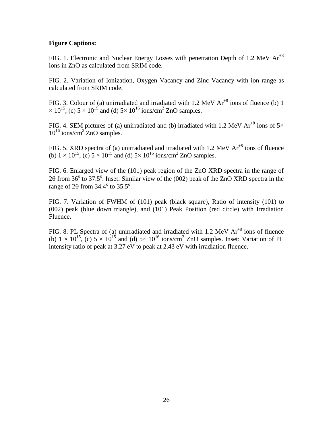## **Figure Captions:**

FIG. 1. Electronic and Nuclear Energy Losses with penetration Depth of 1.2 MeV  $Ar^{8}$ ions in ZnO as calculated from SRIM code.

FIG. 2. Variation of Ionization, Oxygen Vacancy and Zinc Vacancy with ion range as calculated from SRIM code.

FIG. 3. Colour of (a) unirradiated and irradiated with 1.2 MeV  $Ar^{8}$  ions of fluence (b) 1  $\times 10^{15}$ , (c)  $5 \times 10^{15}$  and (d)  $5 \times 10^{16}$  ions/cm<sup>2</sup> ZnO samples.

FIG. 4. SEM pictures of (a) unirradiated and (b) irradiated with 1.2 MeV  $Ar^{8}$  ions of  $5\times$  $10^{16}$  ions/cm<sup>2</sup> ZnO samples.

FIG. 5. XRD spectra of (a) unirradiated and irradiated with 1.2 MeV  $Ar^{+8}$  ions of fluence (b)  $1 \times 10^{15}$ , (c)  $5 \times 10^{15}$  and (d)  $5 \times 10^{16}$  ions/cm<sup>2</sup> ZnO samples.

FIG. 6. Enlarged view of the (101) peak region of the ZnO XRD spectra in the range of 20 from 36 $\degree$  to 37.5 $\degree$ . Inset: Similar view of the (002) peak of the ZnO XRD spectra in the range of  $2\theta$  from  $34.4^\circ$  to  $35.5^\circ$ .

FIG. 7. Variation of FWHM of (101) peak (black square), Ratio of intensity (101) to (002) peak (blue down triangle), and (101) Peak Position (red circle) with Irradiation Fluence.

FIG. 8. PL Spectra of (a) unirradiated and irradiated with 1.2 MeV  $Ar^{8}$  ions of fluence (b)  $1 \times 10^{15}$ , (c)  $5 \times 10^{15}$  and (d)  $5 \times 10^{16}$  ions/cm<sup>2</sup> ZnO samples. Inset: Variation of PL intensity ratio of peak at 3.27 eV to peak at 2.43 eV with irradiation fluence.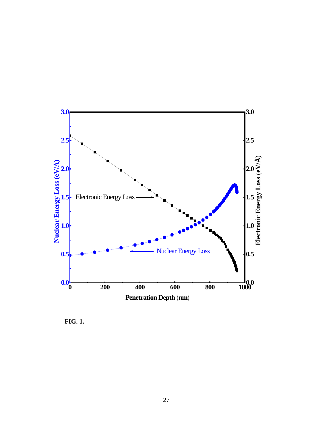

**FIG. 1.**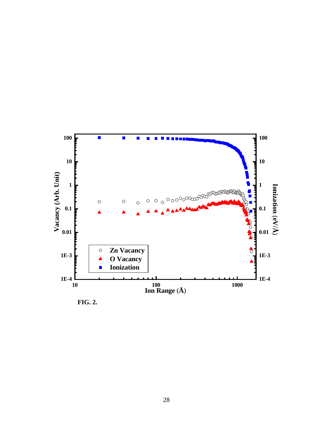

**FIG. 2.**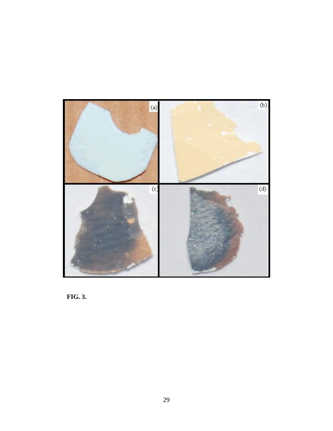

**FIG. 3.**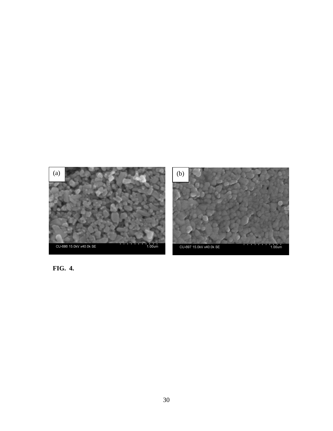

**FIG. 4.**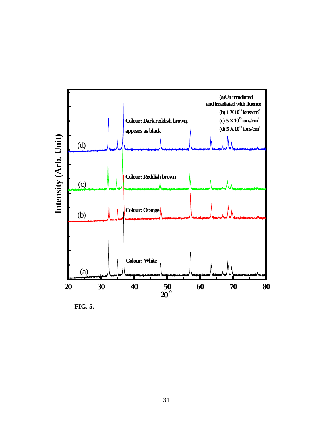

**FIG. 5.**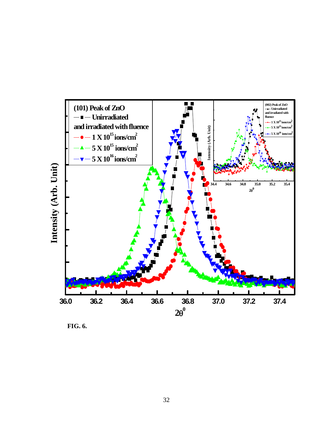

**FIG. 6.**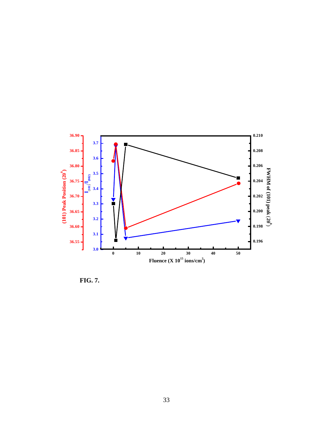

**FIG. 7.**